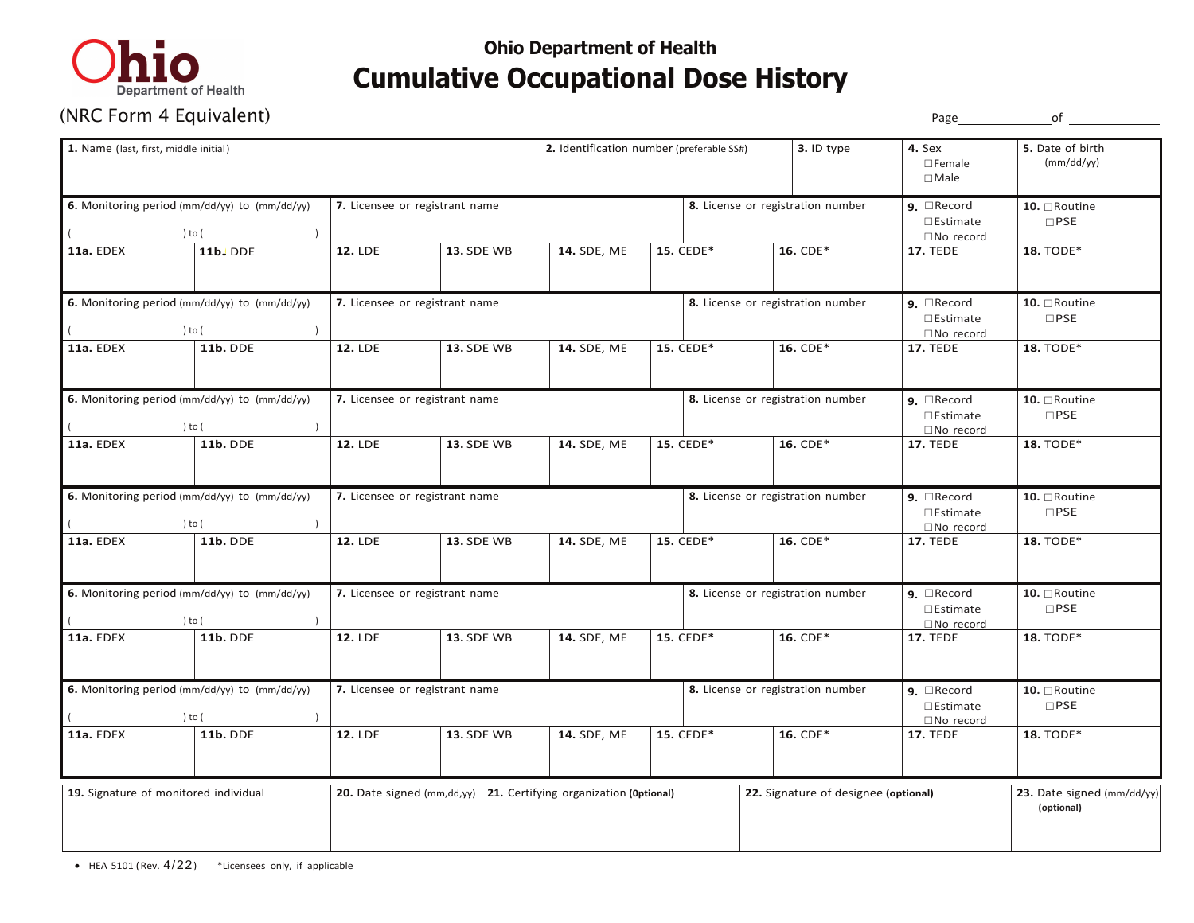

## **Ohio Department of Health Cumulative Occupational Dose History**

|                                                         | (NRC Form 4 Equivalent)                                 |                |                                                                                       |                                           |  |                                   |                                      | Page                                                            | of                                      |
|---------------------------------------------------------|---------------------------------------------------------|----------------|---------------------------------------------------------------------------------------|-------------------------------------------|--|-----------------------------------|--------------------------------------|-----------------------------------------------------------------|-----------------------------------------|
| 1. Name (last, first, middle initial)                   |                                                         |                |                                                                                       | 2. Identification number (preferable SS#) |  |                                   | 3. ID type                           | 4. Sex<br>$\square$ Female<br>$\Box$ Male                       | 5. Date of birth<br>(mm/dd/yy)          |
|                                                         | 6. Monitoring period (mm/dd/yy) to (mm/dd/yy)<br>) to ( |                | 7. Licensee or registrant name                                                        |                                           |  |                                   | 8. License or registration number    | <b>9.</b> $\Box$ Record<br>$\square$ Estimate<br>□No record     | 10. □Routine<br>$\Box$ PSE              |
| 11a. EDEX                                               | <b>11b.</b> DDE                                         | <b>12. LDE</b> | <b>13. SDE WB</b>                                                                     | 14. SDE, ME                               |  | 15. CEDE*                         | 16. CDE*                             | <b>17. TEDE</b>                                                 | 18. TODE*                               |
|                                                         | 6. Monitoring period (mm/dd/yy) to (mm/dd/yy)<br>) to ( |                | 7. Licensee or registrant name                                                        |                                           |  |                                   | 8. License or registration number    | $9.$ Record<br>$\square$ Estimate<br>□No record                 | 10. □Routine<br>$\Box$ PSE              |
| 11a. EDEX                                               | <b>11b. DDE</b>                                         | <b>12. LDE</b> | <b>13. SDE WB</b>                                                                     | 14. SDE, ME                               |  | 15. CEDE*                         | 16. CDE*                             | <b>17. TEDE</b>                                                 | 18. TODE*                               |
|                                                         | 6. Monitoring period (mm/dd/yy) to (mm/dd/yy)<br>) to ( |                | 7. Licensee or registrant name                                                        |                                           |  | 8. License or registration number |                                      | $9.$ $\Box$ Record<br>$\square$ Estimate<br>□No record          | 10. $\Box$ Routine<br>$\Box$ PSE        |
| 11a. EDEX                                               | <b>11b. DDE</b>                                         | <b>12. LDE</b> | <b>13. SDE WB</b>                                                                     | 14. SDE, ME                               |  | 15. CEDE*                         | 16. CDE*                             | <b>17. TEDE</b>                                                 | 18. TODE*                               |
| 6. Monitoring period (mm/dd/yy) to (mm/dd/yy)<br>) to ( |                                                         |                | 7. Licensee or registrant name                                                        |                                           |  |                                   | 8. License or registration number    | $9.$ $\Box$ Record<br>$\square$ Estimate<br>$\square$ No record | 10. □Routine<br>$\square$ PSE           |
| 11a. EDEX                                               | <b>11b. DDE</b>                                         | <b>12. LDE</b> | <b>13. SDE WB</b>                                                                     | 14. SDE, ME                               |  | 15. CEDE*                         | 16. CDE*                             | <b>17. TEDE</b>                                                 | 18. TODE*                               |
| 6. Monitoring period (mm/dd/yy) to (mm/dd/yy)<br>) to ( |                                                         |                | 7. Licensee or registrant name                                                        |                                           |  |                                   | 8. License or registration number    | $9.$ $\Box$ Record<br>$\square$ Estimate<br>□No record          | 10. □Routine<br>$\square$ PSE           |
| 11a. EDEX                                               | <b>11b. DDE</b>                                         | <b>12. LDE</b> | <b>13. SDE WB</b>                                                                     | 14. SDE, ME                               |  | 15. CEDE*                         | 16. CDE*                             | <b>17. TEDE</b>                                                 | 18. TODE*                               |
| 6. Monitoring period (mm/dd/yy) to (mm/dd/yy)<br>) to ( |                                                         |                | 7. Licensee or registrant name                                                        |                                           |  |                                   | 8. License or registration number    | $9.$ $\Box$ Record<br>$\square$ Estimate<br>□No record          | 10. □Routine<br>$\Box$ PSE              |
| 11a. EDEX                                               | <b>11b. DDE</b>                                         | <b>12. LDE</b> | <b>13. SDE WB</b>                                                                     | 14. SDE, ME                               |  | 15. CEDE*                         | 16. CDE*                             | <b>17. TEDE</b>                                                 | 18. TODE*                               |
|                                                         | 19. Signature of monitored individual                   |                | <b>20.</b> Date signed ( $mm, dd, vy$ ) <b>21.</b> Certifying organization (Optional) |                                           |  |                                   | 22. Signature of designee (optional) |                                                                 | 23. Date signed (mm/dd/y)<br>(optional) |